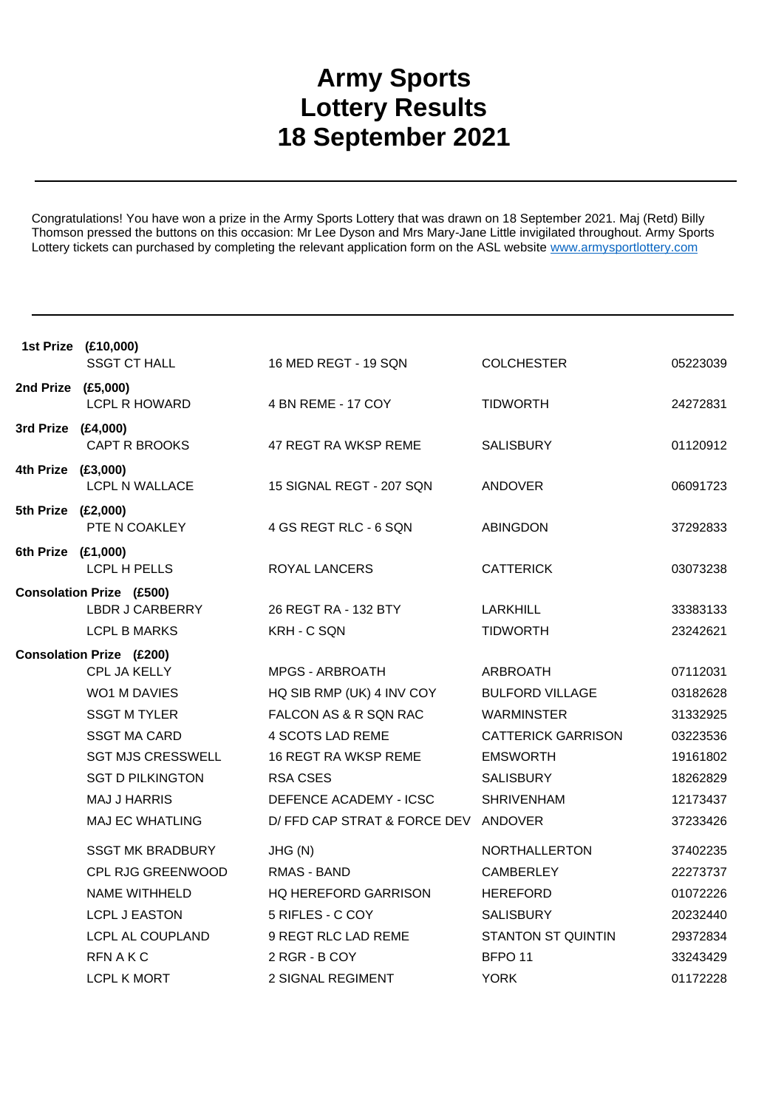## **Army Sports Lottery Results 18 September 2021**

Congratulations! You have won a prize in the Army Sports Lottery that was drawn on 18 September 2021. Maj (Retd) Billy Thomson pressed the buttons on this occasion: Mr Lee Dyson and Mrs Mary-Jane Little invigilated throughout. Army Sports Lottery tickets can purchased by completing the relevant application form on the ASL website www.armysportlottery.com

|                    | 1st Prize (£10,000)<br><b>SSGT CT HALL</b>                                | 16 MED REGT - 19 SQN                 | <b>COLCHESTER</b>           | 05223039             |
|--------------------|---------------------------------------------------------------------------|--------------------------------------|-----------------------------|----------------------|
| 2nd Prize (£5,000) | <b>LCPL R HOWARD</b>                                                      | 4 BN REME - 17 COY                   | <b>TIDWORTH</b>             | 24272831             |
| 3rd Prize (£4,000) | CAPT R BROOKS                                                             | 47 REGT RA WKSP REME                 | <b>SALISBURY</b>            | 01120912             |
| 4th Prize (£3,000) | <b>LCPL N WALLACE</b>                                                     | 15 SIGNAL REGT - 207 SQN             | <b>ANDOVER</b>              | 06091723             |
| 5th Prize (£2,000) | PTE N COAKLEY                                                             | 4 GS REGT RLC - 6 SQN                | <b>ABINGDON</b>             | 37292833             |
| 6th Prize (£1,000) | LCPL H PELLS                                                              | ROYAL LANCERS                        | <b>CATTERICK</b>            | 03073238             |
|                    | <b>Consolation Prize (£500)</b><br>LBDR J CARBERRY<br><b>LCPL B MARKS</b> | 26 REGT RA - 132 BTY<br>KRH - C SQN  | LARKHILL<br><b>TIDWORTH</b> | 33383133<br>23242621 |
|                    | <b>Consolation Prize (£200)</b>                                           |                                      |                             |                      |
|                    | CPL JA KELLY                                                              | <b>MPGS - ARBROATH</b>               | <b>ARBROATH</b>             | 07112031             |
|                    | <b>WO1 M DAVIES</b>                                                       | HQ SIB RMP (UK) 4 INV COY            | <b>BULFORD VILLAGE</b>      | 03182628             |
|                    | <b>SSGT M TYLER</b>                                                       | FALCON AS & R SQN RAC                | <b>WARMINSTER</b>           | 31332925             |
|                    | <b>SSGT MA CARD</b>                                                       | 4 SCOTS LAD REME                     | <b>CATTERICK GARRISON</b>   | 03223536             |
|                    | <b>SGT MJS CRESSWELL</b>                                                  | 16 REGT RA WKSP REME                 | <b>EMSWORTH</b>             | 19161802             |
|                    | <b>SGT D PILKINGTON</b>                                                   | <b>RSA CSES</b>                      | <b>SALISBURY</b>            | 18262829             |
|                    | <b>MAJ J HARRIS</b>                                                       | DEFENCE ACADEMY - ICSC               | <b>SHRIVENHAM</b>           | 12173437             |
|                    | <b>MAJ EC WHATLING</b>                                                    | D/ FFD CAP STRAT & FORCE DEV ANDOVER |                             | 37233426             |
|                    | <b>SSGT MK BRADBURY</b>                                                   | JHG (N)                              | NORTHALLERTON               | 37402235             |
|                    | CPL RJG GREENWOOD                                                         | RMAS - BAND                          | <b>CAMBERLEY</b>            | 22273737             |
|                    | NAME WITHHELD                                                             | <b>HQ HEREFORD GARRISON</b>          | <b>HEREFORD</b>             | 01072226             |
|                    | <b>LCPL J EASTON</b>                                                      | 5 RIFLES - C COY                     | <b>SALISBURY</b>            | 20232440             |
|                    | LCPL AL COUPLAND                                                          | 9 REGT RLC LAD REME                  | <b>STANTON ST QUINTIN</b>   | 29372834             |
|                    | RFN A K C                                                                 | 2 RGR - B COY                        | BFPO <sub>11</sub>          | 33243429             |
|                    | LCPL K MORT                                                               | <b>2 SIGNAL REGIMENT</b>             | <b>YORK</b>                 | 01172228             |